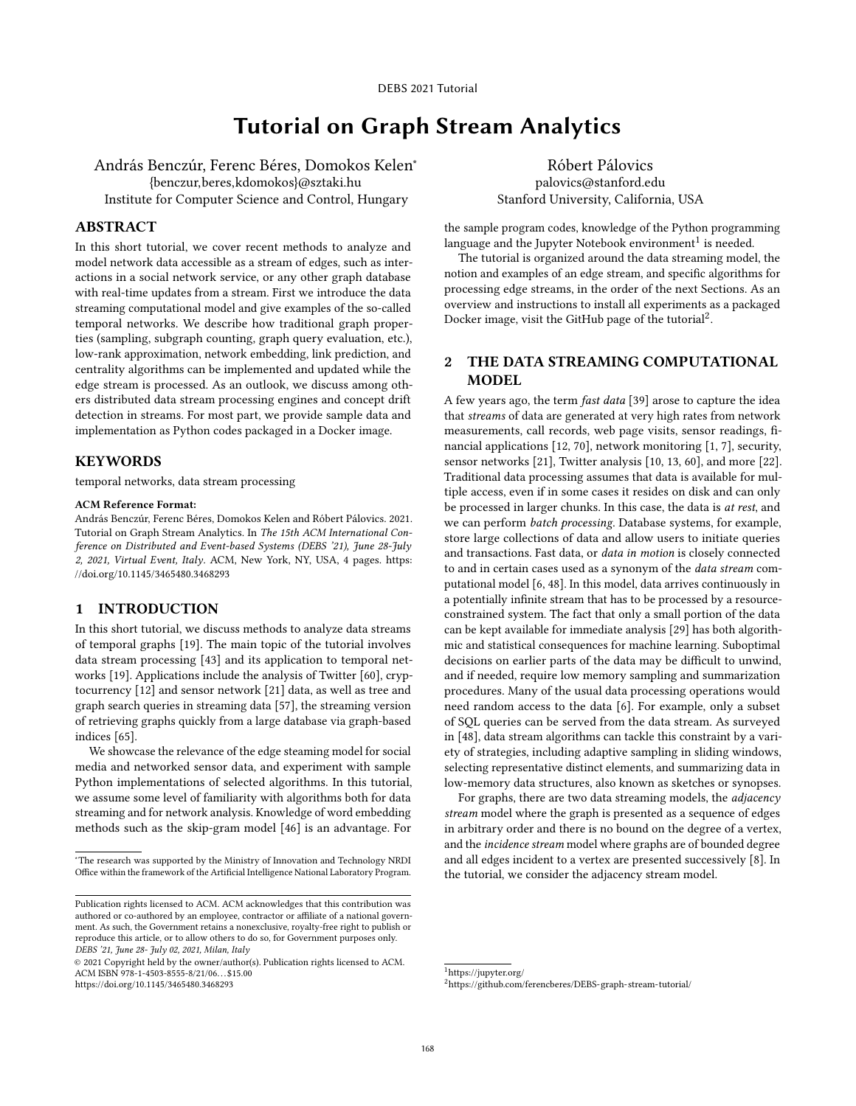# Tutorial on Graph Stream Analytics

András Benczúr, Ferenc Béres, Domokos Kelen<sup>∗</sup> {benczur,beres,kdomokos}@sztaki.hu Institute for Computer Science and Control, Hungary

# ABSTRACT

In this short tutorial, we cover recent methods to analyze and model network data accessible as a stream of edges, such as interactions in a social network service, or any other graph database with real-time updates from a stream. First we introduce the data streaming computational model and give examples of the so-called temporal networks. We describe how traditional graph properties (sampling, subgraph counting, graph query evaluation, etc.), low-rank approximation, network embedding, link prediction, and centrality algorithms can be implemented and updated while the edge stream is processed. As an outlook, we discuss among others distributed data stream processing engines and concept drift detection in streams. For most part, we provide sample data and implementation as Python codes packaged in a Docker image.

# **KEYWORDS**

temporal networks, data stream processing

#### ACM Reference Format:

András Benczúr, Ferenc Béres, Domokos Kelen and Róbert Pálovics. 2021. Tutorial on Graph Stream Analytics. In The 15th ACM International Conference on Distributed and Event-based Systems (DEBS '21), June 28-July 2, 2021, Virtual Event, Italy. ACM, New York, NY, USA, [4](#page-3-0) pages. [https:](https://doi.org/10.1145/3465480.3468293) [//doi.org/10.1145/3465480.3468293](https://doi.org/10.1145/3465480.3468293)

#### 1 INTRODUCTION

In this short tutorial, we discuss methods to analyze data streams of temporal graphs [\[19\]](#page-3-1). The main topic of the tutorial involves data stream processing [\[43\]](#page-3-2) and its application to temporal networks [\[19\]](#page-3-1). Applications include the analysis of Twitter [\[60\]](#page-3-3), cryptocurrency [\[12\]](#page-2-0) and sensor network [\[21\]](#page-3-4) data, as well as tree and graph search queries in streaming data [\[57\]](#page-3-5), the streaming version of retrieving graphs quickly from a large database via graph-based indices [\[65\]](#page-3-6).

We showcase the relevance of the edge steaming model for social media and networked sensor data, and experiment with sample Python implementations of selected algorithms. In this tutorial, we assume some level of familiarity with algorithms both for data streaming and for network analysis. Knowledge of word embedding methods such as the skip-gram model [\[46\]](#page-3-7) is an advantage. For

<https://doi.org/10.1145/3465480.3468293>

Róbert Pálovics palovics@stanford.edu Stanford University, California, USA

the sample program codes, knowledge of the Python programming language and the Jupyter Notebook environment $^1$  $^1$  is needed.

The tutorial is organized around the data streaming model, the notion and examples of an edge stream, and specific algorithms for processing edge streams, in the order of the next Sections. As an overview and instructions to install all experiments as a packaged Docker image, visit the GitHub page of the tutorial $^2$  $^2$ .

# 2 THE DATA STREAMING COMPUTATIONAL MODEL

A few years ago, the term fast data [\[39\]](#page-3-8) arose to capture the idea that streams of data are generated at very high rates from network measurements, call records, web page visits, sensor readings, financial applications [\[12,](#page-2-0) [70\]](#page-3-9), network monitoring [\[1,](#page-2-1) [7\]](#page-2-2), security, sensor networks [\[21\]](#page-3-4), Twitter analysis [\[10,](#page-2-3) [13,](#page-2-4) [60\]](#page-3-3), and more [\[22\]](#page-3-10). Traditional data processing assumes that data is available for multiple access, even if in some cases it resides on disk and can only be processed in larger chunks. In this case, the data is at rest, and we can perform batch processing. Database systems, for example, store large collections of data and allow users to initiate queries and transactions. Fast data, or data in motion is closely connected to and in certain cases used as a synonym of the data stream computational model [\[6,](#page-2-5) [48\]](#page-3-11). In this model, data arrives continuously in a potentially infinite stream that has to be processed by a resourceconstrained system. The fact that only a small portion of the data can be kept available for immediate analysis [\[29\]](#page-3-12) has both algorithmic and statistical consequences for machine learning. Suboptimal decisions on earlier parts of the data may be difficult to unwind, and if needed, require low memory sampling and summarization procedures. Many of the usual data processing operations would need random access to the data [\[6\]](#page-2-5). For example, only a subset of SQL queries can be served from the data stream. As surveyed in [\[48\]](#page-3-11), data stream algorithms can tackle this constraint by a variety of strategies, including adaptive sampling in sliding windows, selecting representative distinct elements, and summarizing data in low-memory data structures, also known as sketches or synopses.

For graphs, there are two data streaming models, the adjacency stream model where the graph is presented as a sequence of edges in arbitrary order and there is no bound on the degree of a vertex, and the incidence stream model where graphs are of bounded degree and all edges incident to a vertex are presented successively [\[8\]](#page-2-6). In the tutorial, we consider the adjacency stream model.

<span id="page-0-0"></span><sup>1</sup><https://jupyter.org/>

<sup>∗</sup>The research was supported by the Ministry of Innovation and Technology NRDI Office within the framework of the Artificial Intelligence National Laboratory Program.

Publication rights licensed to ACM. ACM acknowledges that this contribution was authored or co-authored by an employee, contractor or affiliate of a national government. As such, the Government retains a nonexclusive, royalty-free right to publish or reproduce this article, or to allow others to do so, for Government purposes only. DEBS '21, June 28- July 02, 2021, Milan, Italy

<sup>©</sup> 2021 Copyright held by the owner/author(s). Publication rights licensed to ACM. ACM ISBN 978-1-4503-8555-8/21/06. . . \$15.00

<span id="page-0-1"></span><sup>2</sup><https://github.com/ferencberes/DEBS-graph-stream-tutorial/>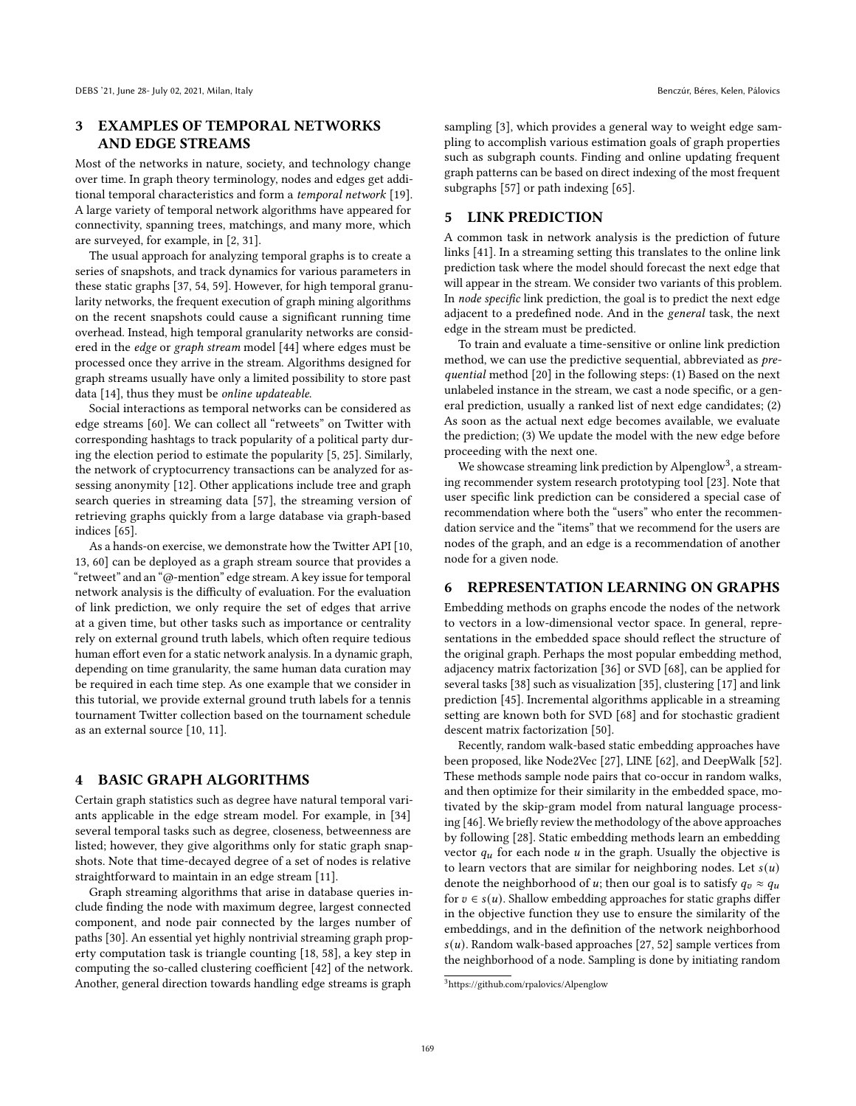# 3 EXAMPLES OF TEMPORAL NETWORKS AND EDGE STREAMS

Most of the networks in nature, society, and technology change over time. In graph theory terminology, nodes and edges get additional temporal characteristics and form a temporal network [\[19\]](#page-3-1). A large variety of temporal network algorithms have appeared for connectivity, spanning trees, matchings, and many more, which are surveyed, for example, in [\[2,](#page-2-7) [31\]](#page-3-13).

The usual approach for analyzing temporal graphs is to create a series of snapshots, and track dynamics for various parameters in these static graphs [\[37,](#page-3-14) [54,](#page-3-15) [59\]](#page-3-16). However, for high temporal granularity networks, the frequent execution of graph mining algorithms on the recent snapshots could cause a significant running time overhead. Instead, high temporal granularity networks are considered in the edge or graph stream model [\[44\]](#page-3-17) where edges must be processed once they arrive in the stream. Algorithms designed for graph streams usually have only a limited possibility to store past data [\[14\]](#page-2-8), thus they must be online updateable.

Social interactions as temporal networks can be considered as edge streams [\[60\]](#page-3-3). We can collect all "retweets" on Twitter with corresponding hashtags to track popularity of a political party during the election period to estimate the popularity [\[5,](#page-2-9) [25\]](#page-3-18). Similarly, the network of cryptocurrency transactions can be analyzed for assessing anonymity [\[12\]](#page-2-0). Other applications include tree and graph search queries in streaming data [\[57\]](#page-3-5), the streaming version of retrieving graphs quickly from a large database via graph-based indices [\[65\]](#page-3-6).

As a hands-on exercise, we demonstrate how the Twitter API [\[10,](#page-2-3) [13,](#page-2-4) [60\]](#page-3-3) can be deployed as a graph stream source that provides a "retweet" and an "@-mention" edge stream. A key issue for temporal network analysis is the difficulty of evaluation. For the evaluation of link prediction, we only require the set of edges that arrive at a given time, but other tasks such as importance or centrality rely on external ground truth labels, which often require tedious human effort even for a static network analysis. In a dynamic graph, depending on time granularity, the same human data curation may be required in each time step. As one example that we consider in this tutorial, we provide external ground truth labels for a tennis tournament Twitter collection based on the tournament schedule as an external source [\[10,](#page-2-3) [11\]](#page-2-10).

#### 4 BASIC GRAPH ALGORITHMS

Certain graph statistics such as degree have natural temporal variants applicable in the edge stream model. For example, in [\[34\]](#page-3-19) several temporal tasks such as degree, closeness, betweenness are listed; however, they give algorithms only for static graph snapshots. Note that time-decayed degree of a set of nodes is relative straightforward to maintain in an edge stream [\[11\]](#page-2-10).

Graph streaming algorithms that arise in database queries include finding the node with maximum degree, largest connected component, and node pair connected by the larges number of paths [\[30\]](#page-3-20). An essential yet highly nontrivial streaming graph property computation task is triangle counting [\[18,](#page-3-21) [58\]](#page-3-22), a key step in computing the so-called clustering coefficient [\[42\]](#page-3-23) of the network. Another, general direction towards handling edge streams is graph

sampling [\[3\]](#page-2-11), which provides a general way to weight edge sampling to accomplish various estimation goals of graph properties such as subgraph counts. Finding and online updating frequent graph patterns can be based on direct indexing of the most frequent

#### 5 LINK PREDICTION

subgraphs [\[57\]](#page-3-5) or path indexing [\[65\]](#page-3-6).

A common task in network analysis is the prediction of future links [\[41\]](#page-3-24). In a streaming setting this translates to the online link prediction task where the model should forecast the next edge that will appear in the stream. We consider two variants of this problem. In node specific link prediction, the goal is to predict the next edge adjacent to a predefined node. And in the general task, the next edge in the stream must be predicted.

To train and evaluate a time-sensitive or online link prediction method, we can use the predictive sequential, abbreviated as prequential method [\[20\]](#page-3-25) in the following steps: (1) Based on the next unlabeled instance in the stream, we cast a node specific, or a general prediction, usually a ranked list of next edge candidates; (2) As soon as the actual next edge becomes available, we evaluate the prediction; (3) We update the model with the new edge before proceeding with the next one.

We showcase streaming link prediction by Alpenglow<sup>[3](#page-1-0)</sup>, a streaming recommender system research prototyping tool [\[23\]](#page-3-26). Note that user specific link prediction can be considered a special case of recommendation where both the "users" who enter the recommendation service and the "items" that we recommend for the users are nodes of the graph, and an edge is a recommendation of another node for a given node.

# 6 REPRESENTATION LEARNING ON GRAPHS

Embedding methods on graphs encode the nodes of the network to vectors in a low-dimensional vector space. In general, representations in the embedded space should reflect the structure of the original graph. Perhaps the most popular embedding method, adjacency matrix factorization [\[36\]](#page-3-27) or SVD [\[68\]](#page-3-28), can be applied for several tasks [\[38\]](#page-3-29) such as visualization [\[35\]](#page-3-30), clustering [\[17\]](#page-2-12) and link prediction [\[45\]](#page-3-31). Incremental algorithms applicable in a streaming setting are known both for SVD [\[68\]](#page-3-28) and for stochastic gradient descent matrix factorization [\[50\]](#page-3-32).

Recently, random walk-based static embedding approaches have been proposed, like Node2Vec [\[27\]](#page-3-33), LINE [\[62\]](#page-3-34), and DeepWalk [\[52\]](#page-3-35). These methods sample node pairs that co-occur in random walks, and then optimize for their similarity in the embedded space, motivated by the skip-gram model from natural language processing [\[46\]](#page-3-7). We briefly review the methodology of the above approaches by following [\[28\]](#page-3-36). Static embedding methods learn an embedding vector  $q_u$  for each node  $u$  in the graph. Usually the objective is to learn vectors that are similar for neighboring nodes. Let  $s(u)$ denote the neighborhood of u; then our goal is to satisfy  $q_v \approx q_u$ for  $v \in s(u)$ . Shallow embedding approaches for static graphs differ in the objective function they use to ensure the similarity of the embeddings, and in the definition of the network neighborhood  $s(u)$ . Random walk-based approaches [\[27,](#page-3-33) [52\]](#page-3-35) sample vertices from the neighborhood of a node. Sampling is done by initiating random

<span id="page-1-0"></span><sup>3</sup><https://github.com/rpalovics/Alpenglow>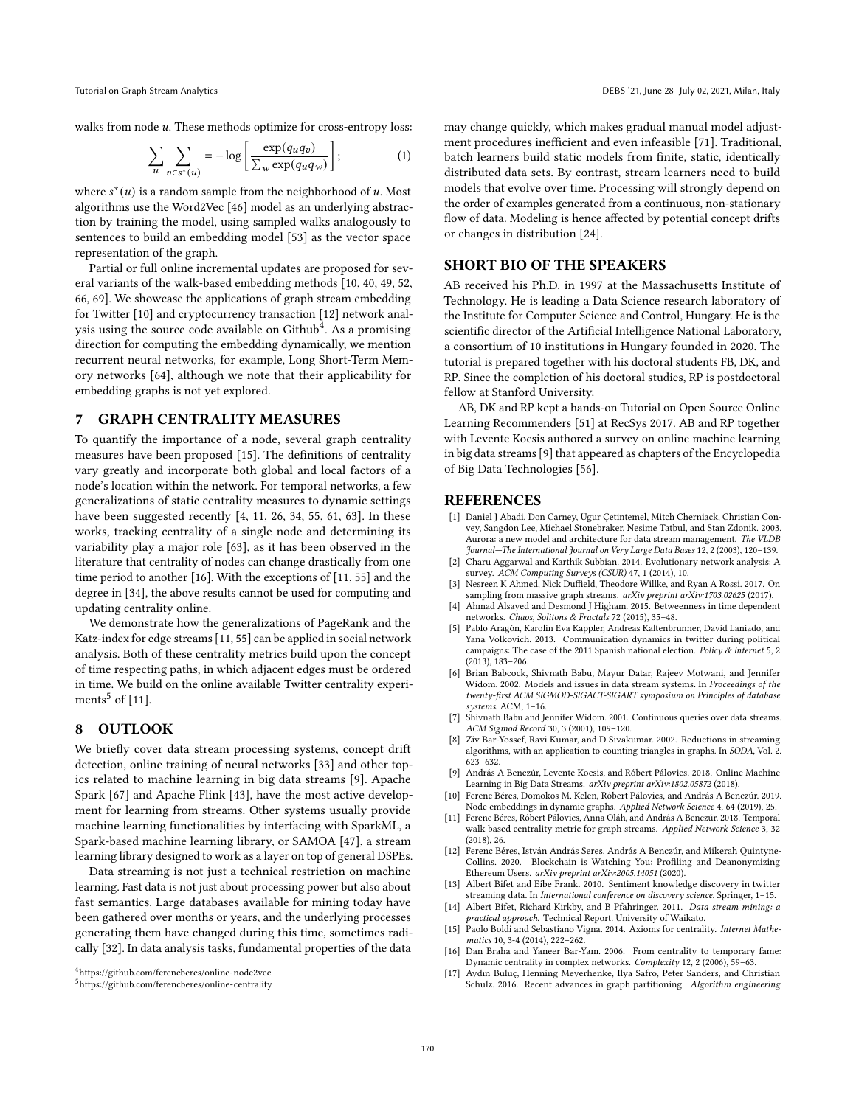Tutorial on Graph Stream Analytics DEBS '21, June 28- July 02, 2021, Milan, Italy

walks from node  $u$ . These methods optimize for cross-entropy loss:

$$
\sum_{u} \sum_{v \in s^*(u)} = -\log \left[ \frac{\exp(q_u q_v)}{\sum_{w} \exp(q_u q_w)} \right];\tag{1}
$$

where  $s^*(u)$  is a random sample from the neighborhood of u. Most algorithms use the Word2Vec [\[46\]](#page-3-7) model as an underlying abstraction by training the model, using sampled walks analogously to sentences to build an embedding model [\[53\]](#page-3-37) as the vector space representation of the graph.

Partial or full online incremental updates are proposed for several variants of the walk-based embedding methods [\[10,](#page-2-3) [40,](#page-3-38) [49,](#page-3-39) [52,](#page-3-35) [66,](#page-3-40) [69\]](#page-3-41). We showcase the applications of graph stream embedding for Twitter [\[10\]](#page-2-3) and cryptocurrency transaction [\[12\]](#page-2-0) network analysis using the source code available on Github $\rm ^4.$  $\rm ^4.$  $\rm ^4.$  As a promising direction for computing the embedding dynamically, we mention recurrent neural networks, for example, Long Short-Term Memory networks [\[64\]](#page-3-42), although we note that their applicability for embedding graphs is not yet explored.

#### 7 GRAPH CENTRALITY MEASURES

To quantify the importance of a node, several graph centrality measures have been proposed [\[15\]](#page-2-14). The definitions of centrality vary greatly and incorporate both global and local factors of a node's location within the network. For temporal networks, a few generalizations of static centrality measures to dynamic settings have been suggested recently [\[4,](#page-2-15) [11,](#page-2-10) [26,](#page-3-43) [34,](#page-3-19) [55,](#page-3-44) [61,](#page-3-45) [63\]](#page-3-46). In these works, tracking centrality of a single node and determining its variability play a major role [\[63\]](#page-3-46), as it has been observed in the literature that centrality of nodes can change drastically from one time period to another [\[16\]](#page-2-16). With the exceptions of [\[11,](#page-2-10) [55\]](#page-3-44) and the degree in [\[34\]](#page-3-19), the above results cannot be used for computing and updating centrality online.

We demonstrate how the generalizations of PageRank and the Katz-index for edge streams [\[11,](#page-2-10) [55\]](#page-3-44) can be applied in social network analysis. Both of these centrality metrics build upon the concept of time respecting paths, in which adjacent edges must be ordered in time. We build on the online available Twitter centrality experi-ments<sup>[5](#page-2-17)</sup> of  $[11]$ .

## 8 OUTLOOK

We briefly cover data stream processing systems, concept drift detection, online training of neural networks [\[33\]](#page-3-47) and other topics related to machine learning in big data streams [\[9\]](#page-2-18). Apache Spark [\[67\]](#page-3-48) and Apache Flink [\[43\]](#page-3-2), have the most active development for learning from streams. Other systems usually provide machine learning functionalities by interfacing with SparkML, a Spark-based machine learning library, or SAMOA [\[47\]](#page-3-49), a stream learning library designed to work as a layer on top of general DSPEs.

Data streaming is not just a technical restriction on machine learning. Fast data is not just about processing power but also about fast semantics. Large databases available for mining today have been gathered over months or years, and the underlying processes generating them have changed during this time, sometimes radically [\[32\]](#page-3-50). In data analysis tasks, fundamental properties of the data

may change quickly, which makes gradual manual model adjustment procedures inefficient and even infeasible [\[71\]](#page-3-51). Traditional, batch learners build static models from finite, static, identically distributed data sets. By contrast, stream learners need to build models that evolve over time. Processing will strongly depend on the order of examples generated from a continuous, non-stationary flow of data. Modeling is hence affected by potential concept drifts or changes in distribution [\[24\]](#page-3-52).

## SHORT BIO OF THE SPEAKERS

AB received his Ph.D. in 1997 at the Massachusetts Institute of Technology. He is leading a Data Science research laboratory of the Institute for Computer Science and Control, Hungary. He is the scientific director of the Artificial Intelligence National Laboratory, a consortium of 10 institutions in Hungary founded in 2020. The tutorial is prepared together with his doctoral students FB, DK, and RP. Since the completion of his doctoral studies, RP is postdoctoral fellow at Stanford University.

AB, DK and RP kept a hands-on Tutorial on Open Source Online Learning Recommenders [\[51\]](#page-3-53) at RecSys 2017. AB and RP together with Levente Kocsis authored a survey on online machine learning in big data streams [\[9\]](#page-2-18) that appeared as chapters of the Encyclopedia of Big Data Technologies [\[56\]](#page-3-54).

#### REFERENCES

- <span id="page-2-1"></span>[1] Daniel J Abadi, Don Carney, Ugur Çetintemel, Mitch Cherniack, Christian Convey, Sangdon Lee, Michael Stonebraker, Nesime Tatbul, and Stan Zdonik. 2003. Aurora: a new model and architecture for data stream management. The VLDB Journal—The International Journal on Very Large Data Bases 12, 2 (2003), 120–139.
- <span id="page-2-7"></span>[2] Charu Aggarwal and Karthik Subbian. 2014. Evolutionary network analysis: A survey. ACM Computing Surveys (CSUR) 47, 1 (2014), 10.
- <span id="page-2-11"></span>[3] Nesreen K Ahmed, Nick Duffield, Theodore Willke, and Ryan A Rossi. 2017. On sampling from massive graph streams. arXiv preprint arXiv:1703.02625 (2017).
- <span id="page-2-15"></span>[4] Ahmad Alsayed and Desmond J Higham. 2015. Betweenness in time dependent networks. Chaos, Solitons & Fractals 72 (2015), 35–48.
- <span id="page-2-9"></span>[5] Pablo Aragón, Karolin Eva Kappler, Andreas Kaltenbrunner, David Laniado, and Yana Volkovich. 2013. Communication dynamics in twitter during political campaigns: The case of the 2011 Spanish national election. Policy & Internet 5, 2 (2013), 183–206.
- <span id="page-2-5"></span>[6] Brian Babcock, Shivnath Babu, Mayur Datar, Rajeev Motwani, and Jennifer Widom. 2002. Models and issues in data stream systems. In Proceedings of the twenty-first ACM SIGMOD-SIGACT-SIGART symposium on Principles of database systems. ACM, 1–16.
- <span id="page-2-2"></span>[7] Shivnath Babu and Jennifer Widom. 2001. Continuous queries over data streams. ACM Sigmod Record 30, 3 (2001), 109–120.
- <span id="page-2-6"></span>[8] Ziv Bar-Yossef, Ravi Kumar, and D Sivakumar. 2002. Reductions in streaming algorithms, with an application to counting triangles in graphs. In SODA, Vol. 2. 623–632.
- <span id="page-2-18"></span>[9] András A Benczúr, Levente Kocsis, and Róbert Pálovics. 2018. Online Machine Learning in Big Data Streams. arXiv preprint arXiv:1802.05872 (2018).
- <span id="page-2-3"></span>[10] Ferenc Béres, Domokos M. Kelen, Róbert Pálovics, and András A Benczúr. 2019. Node embeddings in dynamic graphs. Applied Network Science 4, 64 (2019), 25.
- <span id="page-2-10"></span>[11] Ferenc Béres, Róbert Pálovics, Anna Oláh, and András A Benczúr. 2018. Temporal walk based centrality metric for graph streams. Applied Network Science 3, 32 (2018), 26.
- <span id="page-2-0"></span>[12] Ferenc Béres, István András Seres, András A Benczúr, and Mikerah Quintyne-Collins. 2020. Blockchain is Watching You: Profiling and Deanonymizing Ethereum Users. arXiv preprint arXiv:2005.14051 (2020).
- <span id="page-2-4"></span>[13] Albert Bifet and Eibe Frank. 2010. Sentiment knowledge discovery in twitter streaming data. In International conference on discovery science. Springer, 1–15.
- <span id="page-2-8"></span>[14] Albert Bifet, Richard Kirkby, and B Pfahringer. 2011. Data stream mining: a practical approach. Technical Report. University of Waikato.
- <span id="page-2-14"></span>[15] Paolo Boldi and Sebastiano Vigna. 2014. Axioms for centrality. Internet Mathematics 10, 3-4 (2014), 222–262.
- <span id="page-2-16"></span>Dan Braha and Yaneer Bar-Yam. 2006. From centrality to temporary fame: Dynamic centrality in complex networks. Complexity 12, 2 (2006), 59–63.
- <span id="page-2-12"></span>[17] Aydın Buluç, Henning Meyerhenke, Ilya Safro, Peter Sanders, and Christian Schulz. 2016. Recent advances in graph partitioning. Algorithm engineering

<span id="page-2-13"></span><sup>4</sup>[https://github.com/ferencberes/online-node2vec]( https://github.com/ferencberes/online-node2vec)

<span id="page-2-17"></span><sup>5</sup><https://github.com/ferencberes/online-centrality>